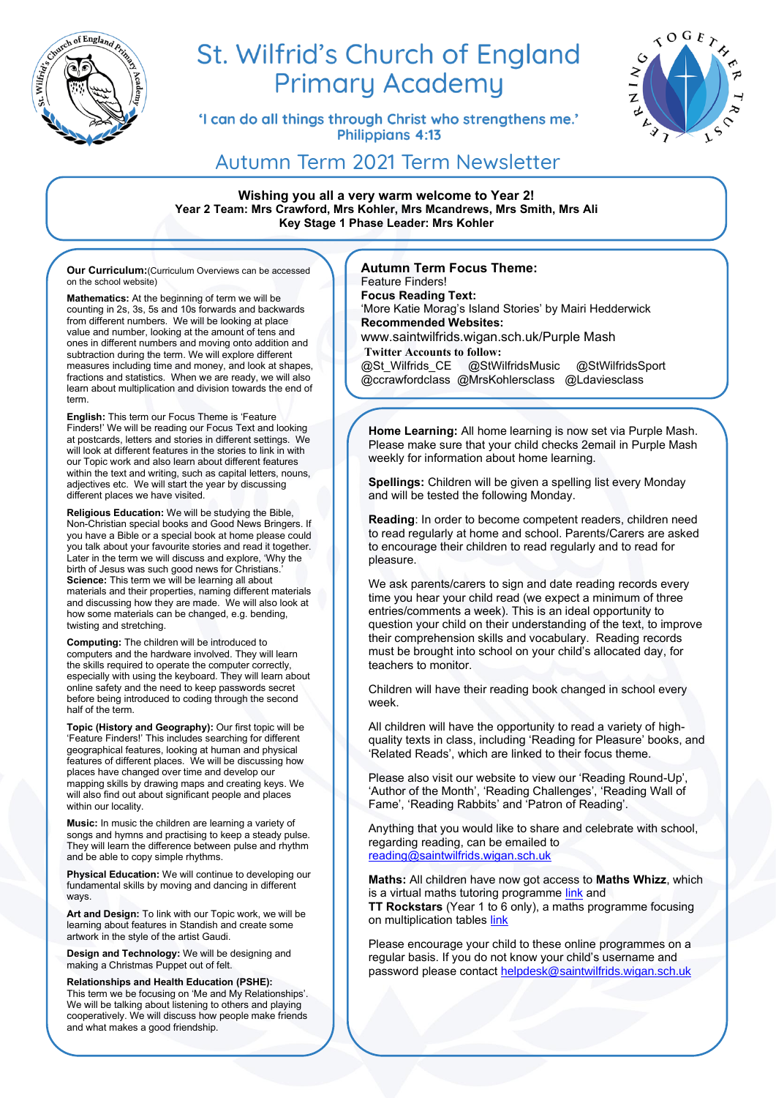

# St. Wilfrid's Church of England **Primary Academy**

'I can do all things through Christ who strengthens me.' **Philippians 4:13** 



# Autumn Term 2021 Term Newsletter

**Wishing you all a very warm welcome to Year 2! Year 2 Team: Mrs Crawford, Mrs Kohler, Mrs Mcandrews, Mrs Smith, Mrs Ali Key Stage 1 Phase Leader: Mrs Kohler**

**Our Curriculum:**(Curriculum Overviews can be accessed on the school website)

**Mathematics:** At the beginning of term we will be counting in 2s, 3s, 5s and 10s forwards and backwards from different numbers. We will be looking at place value and number, looking at the amount of tens and ones in different numbers and moving onto addition and subtraction during the term. We will explore different measures including time and money, and look at shapes, fractions and statistics. When we are ready, we will also learn about multiplication and division towards the end of term.

**English:** This term our Focus Theme is 'Feature Finders!' We will be reading our Focus Text and looking at postcards, letters and stories in different settings. We will look at different features in the stories to link in with our Topic work and also learn about different features within the text and writing, such as capital letters, nouns, adjectives etc. We will start the year by discussing different places we have visited.

**Religious Education:** We will be studying the Bible, Non-Christian special books and Good News Bringers. If you have a Bible or a special book at home please could you talk about your favourite stories and read it together. Later in the term we will discuss and explore, 'Why the birth of Jesus was such good news for Christians.' **Science:** This term we will be learning all about materials and their properties, naming different materials and discussing how they are made. We will also look at how some materials can be changed, e.g. bending, twisting and stretching.

**Computing:** The children will be introduced to computers and the hardware involved. They will learn the skills required to operate the computer correctly, especially with using the keyboard. They will learn about online safety and the need to keep passwords secret before being introduced to coding through the second half of the term.

**Topic (History and Geography):** Our first topic will be 'Feature Finders!' This includes searching for different geographical features, looking at human and physical features of different places. We will be discussing how places have changed over time and develop our mapping skills by drawing maps and creating keys. We will also find out about significant people and places within our locality.

**Music:** In music the children are learning a variety of songs and hymns and practising to keep a steady pulse. They will learn the difference between pulse and rhythm and be able to copy simple rhythms.

**Physical Education:** We will continue to developing our fundamental skills by moving and dancing in different ways.

**Art and Design:** To link with our Topic work, we will be learning about features in Standish and create some artwork in the style of the artist Gaudi.

**Design and Technology:** We will be designing and making a Christmas Puppet out of felt.

**Relationships and Health Education (PSHE):** This term we be focusing on 'Me and My Relationships'. We will be talking about listening to others and playing cooperatively. We will discuss how people make friends and what makes a good friendship.

#### **Autumn Term Focus Theme:**  Feature Finders!

**Focus Reading Text:**  'More Katie Morag's Island Stories' by Mairi Hedderwick **Recommended Websites:** www.saintwilfrids.wigan.sch.uk/Purple Mash

**Twitter Accounts to follow:**  @St\_Wilfrids\_CE @StWilfridsMusic @StWilfridsSport @ccrawfordclass @MrsKohlersclass @Ldaviesclass

**Home Learning:** All home learning is now set via Purple Mash. Please make sure that your child checks 2email in Purple Mash weekly for information about home learning.

**Spellings:** Children will be given a spelling list every Monday and will be tested the following Monday.

**Reading**: In order to become competent readers, children need to read regularly at home and school. Parents/Carers are asked to encourage their children to read regularly and to read for pleasure.

We ask parents/carers to sign and date reading records every time you hear your child read (we expect a minimum of three entries/comments a week). This is an ideal opportunity to question your child on their understanding of the text, to improve their comprehension skills and vocabulary. Reading records must be brought into school on your child's allocated day, for teachers to monitor.

Children will have their reading book changed in school every week.

All children will have the opportunity to read a variety of highquality texts in class, including 'Reading for Pleasure' books, and 'Related Reads', which are linked to their focus theme.

Please also visit our website to view our 'Reading Round-Up', 'Author of the Month', 'Reading Challenges', 'Reading Wall of Fame', 'Reading Rabbits' and 'Patron of Reading'.

Anything that you would like to share and celebrate with school, regarding reading, can be emailed to [reading@saintwilfrids.wigan.sch.uk](mailto:reading@saintwilfrids.wigan.sch.uk)

**Maths:** All children have now got access to **Maths Whizz**, which is a virtual maths tutoring programme [link](https://www.whizz.com/login/) and **TT Rockstars** (Year 1 to 6 only), a maths programme focusing on multiplication tables link

Please encourage your child to these online programmes on a regular basis. If you do not know your child's username and password please contact [helpdesk@saintwilfrids.wigan.sch.uk](mailto:helpdesk@saintwilfrids.wigan.sch.uk)